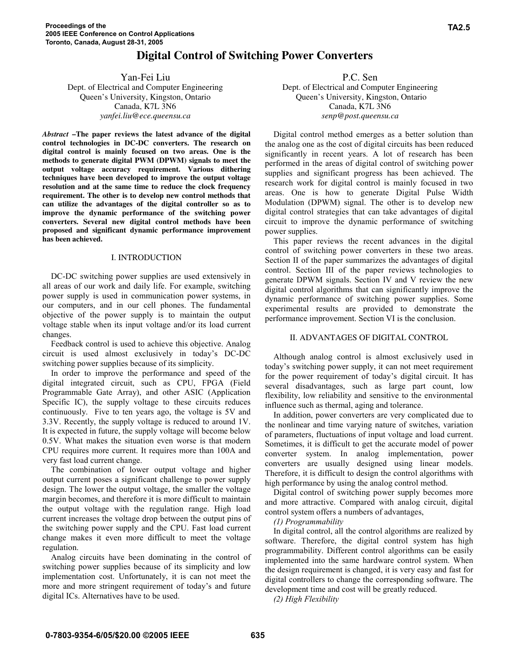# **Digital Control of Switching Power Converters**

Dept. of Electrical and Computer Engineering Queen's University, Kingston, Ontario Queen's University, Kingston, Ontario Canada, K7L 3N6 Canada, K7L 3N6 *yanfei.liu@ece.queensu.ca senp@post.queensu.ca*

*Abstract* **–The paper reviews the latest advance of the digital control technologies in DC-DC converters. The research on digital control is mainly focused on two areas. One is the methods to generate digital PWM (DPWM) signals to meet the output voltage accuracy requirement. Various dithering techniques have been developed to improve the output voltage resolution and at the same time to reduce the clock frequency requirement. The other is to develop new control methods that can utilize the advantages of the digital controller so as to improve the dynamic performance of the switching power converters. Several new digital control methods have been proposed and significant dynamic performance improvement has been achieved.**

## I. INTRODUCTION

DC-DC switching power supplies are used extensively in all areas of our work and daily life. For example, switching power supply is used in communication power systems, in our computers, and in our cell phones. The fundamental objective of the power supply is to maintain the output voltage stable when its input voltage and/or its load current changes.

Feedback control is used to achieve this objective. Analog circuit is used almost exclusively in today's DC-DC switching power supplies because of its simplicity.

In order to improve the performance and speed of the digital integrated circuit, such as CPU, FPGA (Field Programmable Gate Array), and other ASIC (Application Specific IC), the supply voltage to these circuits reduces continuously. Five to ten years ago, the voltage is 5V and 3.3V. Recently, the supply voltage is reduced to around 1V. It is expected in future, the supply voltage will become below 0.5V. What makes the situation even worse is that modern CPU requires more current. It requires more than 100A and very fast load current change.

The combination of lower output voltage and higher output current poses a significant challenge to power supply design. The lower the output voltage, the smaller the voltage margin becomes, and therefore it is more difficult to maintain the output voltage with the regulation range. High load current increases the voltage drop between the output pins of the switching power supply and the CPU. Fast load current change makes it even more difficult to meet the voltage regulation.

Analog circuits have been dominating in the control of switching power supplies because of its simplicity and low implementation cost. Unfortunately, it is can not meet the more and more stringent requirement of today's and future digital ICs. Alternatives have to be used.

Yan-Fei Liu P.C. Sen<br>
cal and Computer Engineering Dept. of Electrical and Computer Engineering

Digital control method emerges as a better solution than the analog one as the cost of digital circuits has been reduced significantly in recent years. A lot of research has been performed in the areas of digital control of switching power supplies and significant progress has been achieved. The research work for digital control is mainly focused in two areas. One is how to generate Digital Pulse Width Modulation (DPWM) signal. The other is to develop new digital control strategies that can take advantages of digital circuit to improve the dynamic performance of switching power supplies.

This paper reviews the recent advances in the digital control of switching power converters in these two areas. Section II of the paper summarizes the advantages of digital control. Section III of the paper reviews technologies to generate DPWM signals. Section IV and V review the new digital control algorithms that can significantly improve the dynamic performance of switching power supplies. Some experimental results are provided to demonstrate the performance improvement. Section VI is the conclusion.

## II. ADVANTAGES OF DIGITAL CONTROL

Although analog control is almost exclusively used in today's switching power supply, it can not meet requirement for the power requirement of today's digital circuit. It has several disadvantages, such as large part count, low flexibility, low reliability and sensitive to the environmental influence such as thermal, aging and tolerance.

In addition, power converters are very complicated due to the nonlinear and time varying nature of switches, variation of parameters, fluctuations of input voltage and load current. Sometimes, it is difficult to get the accurate model of power converter system. In analog implementation, power converters are usually designed using linear models. Therefore, it is difficult to design the control algorithms with high performance by using the analog control method.

Digital control of switching power supply becomes more and more attractive. Compared with analog circuit, digital control system offers a numbers of advantages,

*(1) Programmability* 

In digital control, all the control algorithms are realized by software. Therefore, the digital control system has high programmability. Different control algorithms can be easily implemented into the same hardware control system. When the design requirement is changed, it is very easy and fast for digital controllers to change the corresponding software. The development time and cost will be greatly reduced.

*(2) High Flexibility*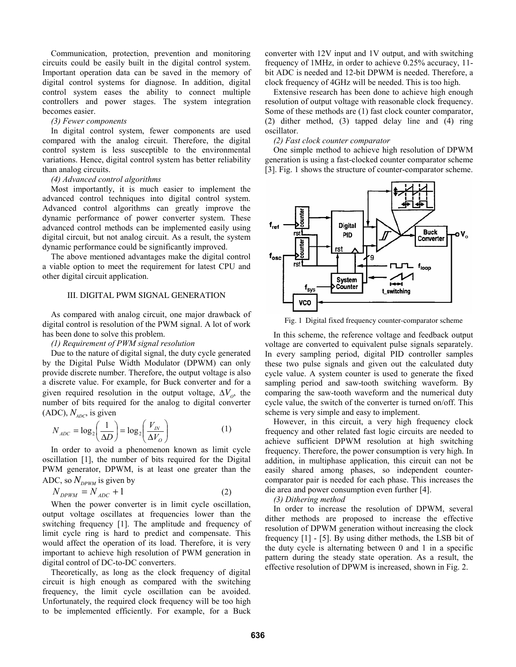Communication, protection, prevention and monitoring circuits could be easily built in the digital control system. Important operation data can be saved in the memory of digital control systems for diagnose. In addition, digital control system eases the ability to connect multiple controllers and power stages. The system integration becomes easier.

## *(3) Fewer components*

In digital control system, fewer components are used compared with the analog circuit. Therefore, the digital control system is less susceptible to the environmental variations. Hence, digital control system has better reliability than analog circuits.

### *(4) Advanced control algorithms*

Most importantly, it is much easier to implement the advanced control techniques into digital control system. Advanced control algorithms can greatly improve the dynamic performance of power converter system. These advanced control methods can be implemented easily using digital circuit, but not analog circuit. As a result, the system dynamic performance could be significantly improved.

The above mentioned advantages make the digital control a viable option to meet the requirement for latest CPU and other digital circuit application.

## III. DIGITAL PWM SIGNAL GENERATION

As compared with analog circuit, one major drawback of digital control is resolution of the PWM signal. A lot of work has been done to solve this problem.

## *(1) Requirement of PWM signal resolution*

Due to the nature of digital signal, the duty cycle generated by the Digital Pulse Width Modulator (DPWM) can only provide discrete number. Therefore, the output voltage is also a discrete value. For example, for Buck converter and for a given required resolution in the output voltage,  $\Delta V_o$ , the number of bits required for the analog to digital converter  $(ADC)$ ,  $N_{ADC}$ , is given

$$
N_{ADC} = \log_2\left(\frac{1}{\Delta D}\right) = \log_2\left(\frac{V_{IN}}{\Delta V_O}\right) \tag{1}
$$

In order to avoid a phenomenon known as limit cycle oscillation [1], the number of bits required for the Digital PWM generator, DPWM, is at least one greater than the ADC, so  $N_{p_{\text{PWM}}}$  is given by

$$
N_{DPWM} = N_{ADC} + 1\tag{2}
$$

When the power converter is in limit cycle oscillation, output voltage oscillates at frequencies lower than the switching frequency [1]. The amplitude and frequency of limit cycle ring is hard to predict and compensate. This would affect the operation of its load. Therefore, it is very important to achieve high resolution of PWM generation in digital control of DC-to-DC converters.

Theoretically, as long as the clock frequency of digital circuit is high enough as compared with the switching frequency, the limit cycle oscillation can be avoided. Unfortunately, the required clock frequency will be too high to be implemented efficiently. For example, for a Buck converter with 12V input and 1V output, and with switching frequency of 1MHz, in order to achieve 0.25% accuracy, 11 bit ADC is needed and 12-bit DPWM is needed. Therefore, a clock frequency of 4GHz will be needed. This is too high.

Extensive research has been done to achieve high enough resolution of output voltage with reasonable clock frequency. Some of these methods are (1) fast clock counter comparator, (2) dither method, (3) tapped delay line and (4) ring oscillator.

*(2) Fast clock counter comparator* 

One simple method to achieve high resolution of DPWM generation is using a fast-clocked counter comparator scheme [3]. Fig. 1 shows the structure of counter-comparator scheme.



Fig. 1 Digital fixed frequency counter-comparator scheme

In this scheme, the reference voltage and feedback output voltage are converted to equivalent pulse signals separately. In every sampling period, digital PID controller samples these two pulse signals and given out the calculated duty cycle value. A system counter is used to generate the fixed sampling period and saw-tooth switching waveform. By comparing the saw-tooth waveform and the numerical duty cycle value, the switch of the converter is turned on/off. This scheme is very simple and easy to implement.

However, in this circuit, a very high frequency clock frequency and other related fast logic circuits are needed to achieve sufficient DPWM resolution at high switching frequency. Therefore, the power consumption is very high. In addition, in multiphase application, this circuit can not be easily shared among phases, so independent countercomparator pair is needed for each phase. This increases the die area and power consumption even further [4].

*(3) Dithering method* 

In order to increase the resolution of DPWM, several dither methods are proposed to increase the effective resolution of DPWM generation without increasing the clock frequency [1] - [5]. By using dither methods, the LSB bit of the duty cycle is alternating between 0 and 1 in a specific pattern during the steady state operation. As a result, the effective resolution of DPWM is increased, shown in Fig. 2.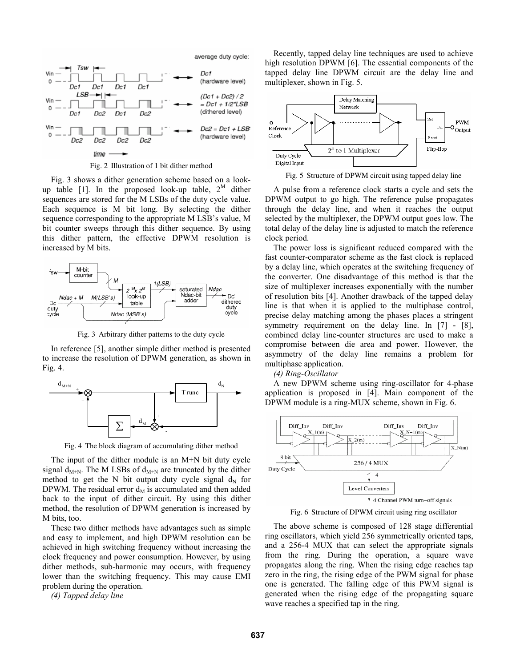

Fig. 2 Illustration of 1 bit dither method

Fig. 3 shows a dither generation scheme based on a lookup table [1]. In the proposed look-up table,  $2^M$  dither sequences are stored for the M LSBs of the duty cycle value. Each sequence is M bit long. By selecting the dither sequence corresponding to the appropriate M LSB's value, M bit counter sweeps through this dither sequence. By using this dither pattern, the effective DPWM resolution is increased by M bits.



Fig. 3 Arbitrary dither patterns to the duty cycle

In reference [5], another simple dither method is presented to increase the resolution of DPWM generation, as shown in Fig. 4.



Fig. 4 The block diagram of accumulating dither method

The input of the dither module is an M+N bit duty cycle signal  $d_{M+N}$ . The M LSBs of  $d_{M+N}$  are truncated by the dither method to get the N bit output duty cycle signal  $d_N$  for DPWM. The residual error  $d_M$  is accumulated and then added back to the input of dither circuit. By using this dither method, the resolution of DPWM generation is increased by M bits, too.

These two dither methods have advantages such as simple and easy to implement, and high DPWM resolution can be achieved in high switching frequency without increasing the clock frequency and power consumption. However, by using dither methods, sub-harmonic may occurs, with frequency lower than the switching frequency. This may cause EMI problem during the operation.

*(4) Tapped delay line* 

Recently, tapped delay line techniques are used to achieve high resolution DPWM [6]. The essential components of the tapped delay line DPWM circuit are the delay line and multiplexer, shown in Fig. 5.



Fig. 5 Structure of DPWM circuit using tapped delay line

A pulse from a reference clock starts a cycle and sets the DPWM output to go high. The reference pulse propagates through the delay line, and when it reaches the output selected by the multiplexer, the DPWM output goes low. The total delay of the delay line is adjusted to match the reference clock period.

The power loss is significant reduced compared with the fast counter-comparator scheme as the fast clock is replaced by a delay line, which operates at the switching frequency of the converter. One disadvantage of this method is that the size of multiplexer increases exponentially with the number of resolution bits [4]. Another drawback of the tapped delay line is that when it is applied to the multiphase control, precise delay matching among the phases places a stringent symmetry requirement on the delay line. In [7] - [8], combined delay line-counter structures are used to make a compromise between die area and power. However, the asymmetry of the delay line remains a problem for multiphase application.

*(4) Ring-Oscillator* 

A new DPWM scheme using ring-oscillator for 4-phase application is proposed in [4]. Main component of the DPWM module is a ring-MUX scheme, shown in Fig. 6.



Fig. 6 Structure of DPWM circuit using ring oscillator

The above scheme is composed of 128 stage differential ring oscillators, which yield 256 symmetrically oriented taps, and a 256-4 MUX that can select the appropriate signals from the ring. During the operation, a square wave propagates along the ring. When the rising edge reaches tap zero in the ring, the rising edge of the PWM signal for phase one is generated. The falling edge of this PWM signal is generated when the rising edge of the propagating square wave reaches a specified tap in the ring.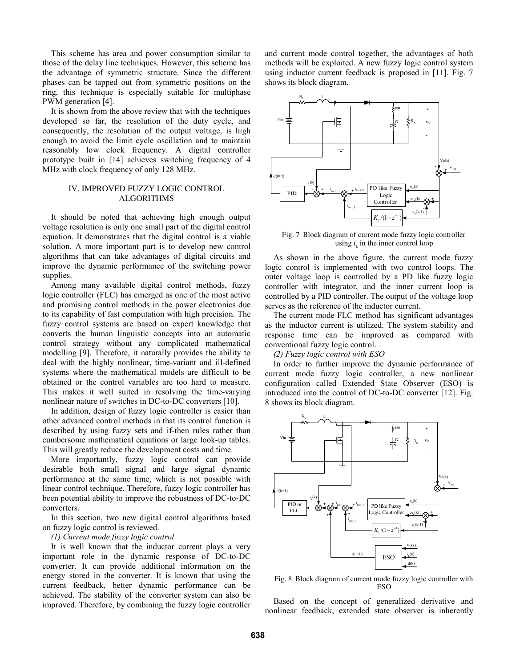This scheme has area and power consumption similar to those of the delay line techniques. However, this scheme has the advantage of symmetric structure. Since the different phases can be tapped out from symmetric positions on the ring, this technique is especially suitable for multiphase PWM generation [4].

It is shown from the above review that with the techniques developed so far, the resolution of the duty cycle, and consequently, the resolution of the output voltage, is high enough to avoid the limit cycle oscillation and to maintain reasonably low clock frequency. A digital controller prototype built in [14] achieves switching frequency of 4 MHz with clock frequency of only 128 MHz.

## IV. IMPROVED FUZZY LOGIC CONTROL ALGORITHMS

It should be noted that achieving high enough output voltage resolution is only one small part of the digital control equation. It demonstrates that the digital control is a viable solution. A more important part is to develop new control algorithms that can take advantages of digital circuits and improve the dynamic performance of the switching power supplies.

Among many available digital control methods, fuzzy logic controller (FLC) has emerged as one of the most active and promising control methods in the power electronics due to its capability of fast computation with high precision. The fuzzy control systems are based on expert knowledge that converts the human linguistic concepts into an automatic control strategy without any complicated mathematical modelling [9]. Therefore, it naturally provides the ability to deal with the highly nonlinear, time-variant and ill-defined systems where the mathematical models are difficult to be obtained or the control variables are too hard to measure. This makes it well suited in resolving the time-varying nonlinear nature of switches in DC-to-DC converters [10].

In addition, design of fuzzy logic controller is easier than other advanced control methods in that its control function is described by using fuzzy sets and if-then rules rather than cumbersome mathematical equations or large look-up tables. This will greatly reduce the development costs and time.

More importantly, fuzzy logic control can provide desirable both small signal and large signal dynamic performance at the same time, which is not possible with linear control technique. Therefore, fuzzy logic controller has been potential ability to improve the robustness of DC-to-DC converters.

In this section, two new digital control algorithms based on fuzzy logic control is reviewed.

## *(1) Current mode fuzzy logic control*

It is well known that the inductor current plays a very important role in the dynamic response of DC-to-DC converter. It can provide additional information on the energy stored in the converter. It is known that using the current feedback, better dynamic performance can be achieved. The stability of the converter system can also be improved. Therefore, by combining the fuzzy logic controller and current mode control together, the advantages of both methods will be exploited. A new fuzzy logic control system using inductor current feedback is proposed in [11]. Fig. 7 shows its block diagram.



Fig. 7 Block diagram of current mode fuzzy logic controller using  $i<sub>L</sub>$  in the inner control loop

As shown in the above figure, the current mode fuzzy logic control is implemented with two control loops. The outer voltage loop is controlled by a PD like fuzzy logic controller with integrator, and the inner current loop is controlled by a PID controller. The output of the voltage loop serves as the reference of the inductor current.

The current mode FLC method has significant advantages as the inductor current is utilized. The system stability and response time can be improved as compared with conventional fuzzy logic control.

*(2) Fuzzy logic control with ESO* 

In order to further improve the dynamic performance of current mode fuzzy logic controller, a new nonlinear configuration called Extended State Observer (ESO) is introduced into the control of DC-to-DC converter [12]. Fig. 8 shows its block diagram.



Fig. 8 Block diagram of current mode fuzzy logic controller with **ESO** 

Based on the concept of generalized derivative and nonlinear feedback, extended state observer is inherently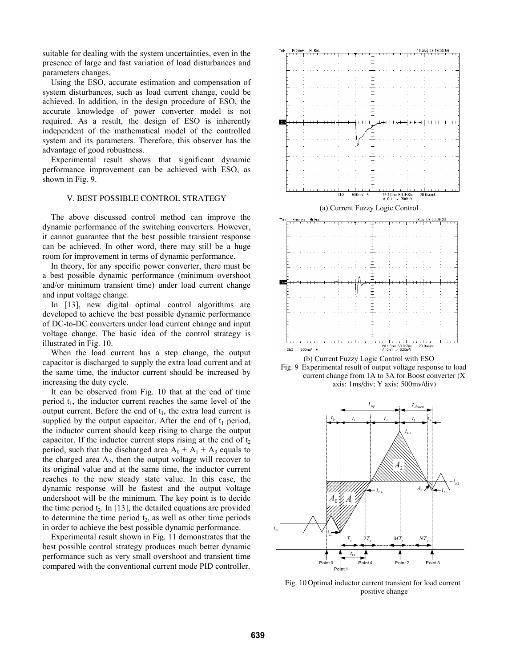suitable for dealing with the system uncertainties, even in the presence of large and fast variation of load disturbances and parameters changes.

Using the ESO, accurate estimation and compensation of system disturbances, such as load current change, could be achieved. In addition, in the design procedure of ESO, the accurate knowledge of power converter model is not required. As a result, the design of ESO is inherently independent of the mathematical model of the controlled system and its parameters. Therefore, this observer has the advantage of good robustness.

Experimental result shows that significant dynamic performance improvement can be achieved with ESO, as shown in Fig. 9.

# V. BEST POSSIBLE CONTROL STRATEGY

The above discussed control method can improve the dynamic performance of the switching converters. However, it cannot guarantee that the best possible transient response can be achieved. In other word, there may still be a huge room for improvement in terms of dynamic performance.

In theory, for any specific power converter, there must be a best possible dynamic performance (minimum overshoot and/or minimum transient time) under load current change and input voltage change.

In [13], new digital optimal control algorithms are developed to achieve the best possible dynamic performance of DC-to-DC converters under load current change and input voltage change. The basic idea of the control strategy is illustrated in Fig. 10.

When the load current has a step change, the output capacitor is discharged to supply the extra load current and at the same time, the inductor current should be increased by increasing the duty cycle.

It can be observed from Fig. 10 that at the end of time period  $t_1$ , the inductor current reaches the same level of the output current. Before the end of  $t_1$ , the extra load current is supplied by the output capacitor. After the end of  $t_1$  period, the inductor current should keep rising to charge the output capacitor. If the inductor current stops rising at the end of  $t_2$ period, such that the discharged area  $A_0 + A_1 + A_3$  equals to the charged area  $A_2$ , then the output voltage will recover to its original value and at the same time, the inductor current reaches to the new steady state value. In this case, the dynamic response will be fastest and the output voltage undershoot will be the minimum. The key point is to decide the time period  $t_2$ . In [13], the detailed equations are provided to determine the time period  $t_2$ , as well as other time periods in order to achieve the best possible dynamic performance.

Experimental result shown in Fig. 11 demonstrates that the best possible control strategy produces much better dynamic performance such as very small overshoot and transient time compared with the conventional current mode PID controller.







Fig. 10 Optimal inductor current transient for load current positive change